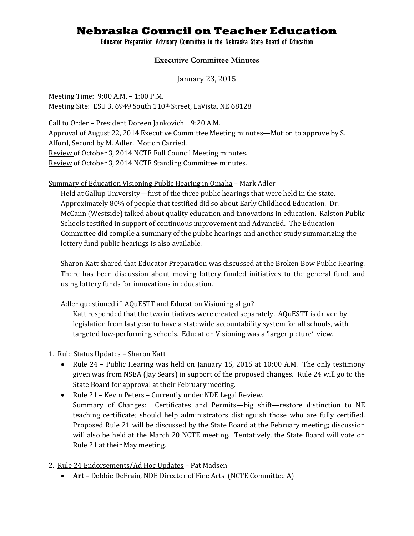# **Nebraska Council on Teacher Education**

#### Educator Preparation Advisory Committee to the Nebraska State Board of Education

#### **Executive Committee Minutes**

January 23, 2015

Meeting Time: 9:00 A.M. – 1:00 P.M. Meeting Site: ESU 3, 6949 South 110th Street, LaVista, NE 68128

Call to Order – President Doreen Jankovich 9:20 A.M. Approval of August 22, 2014 Executive Committee Meeting minutes—Motion to approve by S. Alford, Second by M. Adler. Motion Carried. Review of October 3, 2014 NCTE Full Council Meeting minutes. Review of October 3, 2014 NCTE Standing Committee minutes.

#### Summary of Education Visioning Public Hearing in Omaha – Mark Adler

Held at Gallup University—first of the three public hearings that were held in the state. Approximately 80% of people that testified did so about Early Childhood Education. Dr. McCann (Westside) talked about quality education and innovations in education. Ralston Public Schools testified in support of continuous improvement and AdvancEd. The Education Committee did compile a summary of the public hearings and another study summarizing the lottery fund public hearings is also available.

Sharon Katt shared that Educator Preparation was discussed at the Broken Bow Public Hearing. There has been discussion about moving lottery funded initiatives to the general fund, and using lottery funds for innovations in education.

Adler questioned if AQuESTT and Education Visioning align?

Katt responded that the two initiatives were created separately. AQuESTT is driven by legislation from last year to have a statewide accountability system for all schools, with targeted low-performing schools. Education Visioning was a 'larger picture' view.

- 1. Rule Status Updates Sharon Katt
	- Rule 24 Public Hearing was held on January 15, 2015 at 10:00 A.M. The only testimony given was from NSEA (Jay Sears) in support of the proposed changes. Rule 24 will go to the State Board for approval at their February meeting.
	- Rule 21 Kevin Peters Currently under NDE Legal Review. Summary of Changes: Certificates and Permits—big shift—restore distinction to NE teaching certificate; should help administrators distinguish those who are fully certified. Proposed Rule 21 will be discussed by the State Board at the February meeting; discussion will also be held at the March 20 NCTE meeting. Tentatively, the State Board will vote on Rule 21 at their May meeting.
- 2. Rule 24 Endorsements/Ad Hoc Updates Pat Madsen
	- **Art** Debbie DeFrain, NDE Director of Fine Arts (NCTE Committee A)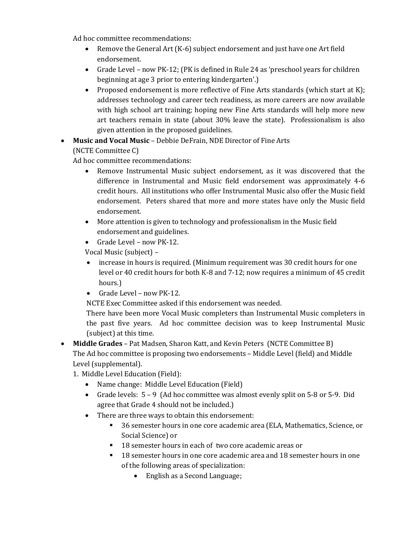Ad hoc committee recommendations:

- Remove the General Art (K-6) subject endorsement and just have one Art field endorsement.
- Grade Level now PK-12; (PK is defined in Rule 24 as 'preschool years for children beginning at age 3 prior to entering kindergarten'.)
- Proposed endorsement is more reflective of Fine Arts standards (which start at K); addresses technology and career tech readiness, as more careers are now available with high school art training; hoping new Fine Arts standards will help more new art teachers remain in state (about 30% leave the state). Professionalism is also given attention in the proposed guidelines.

### **Music and Vocal Music** – Debbie DeFrain, NDE Director of Fine Arts (NCTE Committee C)

Ad hoc committee recommendations:

- Remove Instrumental Music subject endorsement, as it was discovered that the difference in Instrumental and Music field endorsement was approximately 4-6 credit hours. All institutions who offer Instrumental Music also offer the Music field endorsement.Peters shared that more and more states have only the Music field endorsement.
- More attention is given to technology and professionalism in the Music field endorsement and guidelines.
- Grade Level now PK-12.

Vocal Music (subject) *–*

- increase in hours is required. (Minimum requirement was 30 credit hours for one level or 40 credit hours for both K-8 and 7-12; now requires a minimum of 45 credit hours.)
- Grade Level now PK-12.

NCTE Exec Committee asked if this endorsement was needed.

There have been more Vocal Music completers than Instrumental Music completers in the past five years. Ad hoc committee decision was to keep Instrumental Music (subject) at this time.

 **Middle Grades** – Pat Madsen, Sharon Katt, and Kevin Peters (NCTE Committee B) The Ad hoc committee is proposing two endorsements – Middle Level (field) and Middle Level (supplemental).

- 1. Middle Level Education (Field):
	- Name change: Middle Level Education (Field)
	- Grade levels:  $5 9$  (Ad hoc committee was almost evenly split on 5-8 or 5-9. Did agree that Grade 4 should not be included.)
	- There are three ways to obtain this endorsement:
		- 36 semester hours in one core academic area (ELA, Mathematics, Science, or Social Science) or
		- <sup>18</sup> semester hours in each of two core academic areas or
		- 18 semester hours in one core academic area and 18 semester hours in one of the following areas of specialization:
			- English as a Second Language;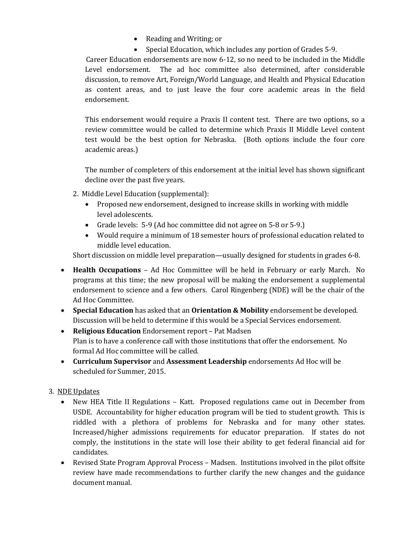- Reading and Writing; or
- Special Education, which includes any portion of Grades 5-9.

 Career Education endorsements are now 6-12, so no need to be included in the Middle Level endorsement. The ad hoc committee also determined, after considerable discussion, to remove Art, Foreign/World Language, and Health and Physical Education as content areas, and to just leave the four core academic areas in the field endorsement.

This endorsement would require a Praxis II content test. There are two options, so a review committee would be called to determine which Praxis II Middle Level content test would be the best option for Nebraska. (Both options include the four core academic areas.)

The number of completers of this endorsement at the initial level has shown significant decline over the past five years.

- 2. Middle Level Education (supplemental):
	- Proposed new endorsement, designed to increase skills in working with middle level adolescents.
	- Grade levels: 5-9 (Ad hoc committee did not agree on 5-8 or 5-9.)
	- Would require a minimum of 18 semester hours of professional education related to middle level education.

Short discussion on middle level preparation—usually designed for students in grades 6-8.

- **Health Occupations** Ad Hoc Committee will be held in February or early March. No programs at this time; the new proposal will be making the endorsement a supplemental endorsement to science and a few others. Carol Ringenberg (NDE) will be the chair of the Ad Hoc Committee.
- **Special Education** has asked that an **Orientation & Mobility** endorsement be developed. Discussion will be held to determine if this would be a Special Services endorsement.
- **Religious Education** Endorsement report Pat Madsen Plan is to have a conference call with those institutions that offer the endorsement. No formal Ad Hoc committee will be called.
- **Curriculum Supervisor** and **Assessment Leadership** endorsements Ad Hoc will be scheduled for Summer, 2015.

## 3. NDE Updates

- New HEA Title II Regulations Katt. Proposed regulations came out in December from USDE. Accountability for higher education program will be tied to student growth. This is riddled with a plethora of problems for Nebraska and for many other states. Increased/higher admissions requirements for educator preparation. If states do not comply, the institutions in the state will lose their ability to get federal financial aid for candidates.
- Revised State Program Approval Process Madsen. Institutions involved in the pilot offsite review have made recommendations to further clarify the new changes and the guidance document manual.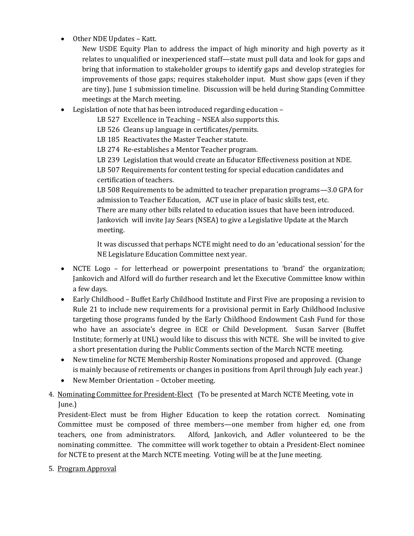• Other NDE Updates - Katt.

New USDE Equity Plan to address the impact of high minority and high poverty as it relates to unqualified or inexperienced staff—state must pull data and look for gaps and bring that information to stakeholder groups to identify gaps and develop strategies for improvements of those gaps; requires stakeholder input. Must show gaps (even if they are tiny). June 1 submission timeline. Discussion will be held during Standing Committee meetings at the March meeting.

Legislation of note that has been introduced regarding education –

LB 527 Excellence in Teaching – NSEA also supports this.

LB 526 Cleans up language in certificates/permits.

LB 185 Reactivates the Master Teacher statute.

LB 274 Re-establishes a Mentor Teacher program.

LB 239 Legislation that would create an Educator Effectiveness position at NDE.

LB 507 Requirements for content testing for special education candidates and certification of teachers.

LB 508 Requirements to be admitted to teacher preparation programs—3.0 GPA for admission to Teacher Education, ACT use in place of basic skills test, etc. There are many other bills related to education issues that have been introduced. Jankovich will invite Jay Sears (NSEA) to give a Legislative Update at the March meeting.

It was discussed that perhaps NCTE might need to do an 'educational session' for the NE Legislature Education Committee next year.

- NCTE Logo for letterhead or powerpoint presentations to 'brand' the organization; Jankovich and Alford will do further research and let the Executive Committee know within a few days.
- Early Childhood Buffet Early Childhood Institute and First Five are proposing a revision to Rule 21 to include new requirements for a provisional permit in Early Childhood Inclusive targeting those programs funded by the Early Childhood Endowment Cash Fund for those who have an associate's degree in ECE or Child Development. Susan Sarver (Buffet Institute; formerly at UNL) would like to discuss this with NCTE. She will be invited to give a short presentation during the Public Comments section of the March NCTE meeting.
- New timeline for NCTE Membership Roster Nominations proposed and approved. (Change is mainly because of retirements or changes in positions from April through July each year.)
- New Member Orientation October meeting.

## 4. Nominating Committee for President-Elect (To be presented at March NCTE Meeting, vote in June.)

President-Elect must be from Higher Education to keep the rotation correct. Nominating Committee must be composed of three members—one member from higher ed, one from teachers, one from administrators. Alford, Jankovich, and Adler volunteered to be the nominating committee. The committee will work together to obtain a President-Elect nominee for NCTE to present at the March NCTE meeting. Voting will be at the June meeting.

5. Program Approval